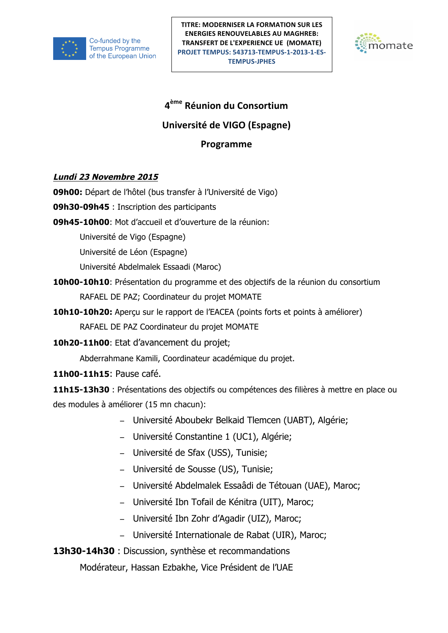

**PROJET TEMPUS: 543713-TEMPUS-1-2013-1-ES-**<br>**TEMPUS-JDHES TITRE: MODERNISER LA FORMATION SUR LES ENERGIES RENOUVELABLES AU MAGHREB: TRANSFERT DE L'EXPERIENCE UE (MOMATE) TEMPUS-JPHES**



# **4ème Réunion du Consortium**

## **Université de VIGO (Espagne)**

## **Programme**

### **Lundi 23 Novembre 2015**

**09h00:** Départ de l'hôtel (bus transfer à l'Université de Vigo)

**09h30-09h45** : Inscription des participants

**09h45-10h00**: Mot d'accueil et d'ouverture de la réunion:

Université de Vigo (Espagne)

Université de Léon (Espagne)

Université Abdelmalek Essaadi (Maroc)

- **10h00-10h10**: Présentation du programme et des objectifs de la réunion du consortium RAFAEL DE PAZ; Coordinateur du projet MOMATE
- **10h10-10h20:** Aperçu sur le rapport de l'EACEA (points forts et points à améliorer) RAFAEL DE PAZ Coordinateur du projet MOMATE
- **10h20-11h00**: Etat d'avancement du projet;

Abderrahmane Kamili, Coordinateur académique du projet.

**11h00-11h15**: Pause café.

**11h15-13h30** : Présentations des objectifs ou compétences des filières à mettre en place ou des modules à améliorer (15 mn chacun):

- − Université Aboubekr Belkaid Tlemcen (UABT), Algérie;
- − Université Constantine 1 (UC1), Algérie;
- − Université de Sfax (USS), Tunisie;
- − Université de Sousse (US), Tunisie;
- − Université Abdelmalek Essaâdi de Tétouan (UAE), Maroc;
- − Université Ibn Tofail de Kénitra (UIT), Maroc;
- − Université Ibn Zohr d'Agadir (UIZ), Maroc;
- − Université Internationale de Rabat (UIR), Maroc;

**13h30-14h30** : Discussion, synthèse et recommandations

Modérateur, Hassan Ezbakhe, Vice Président de l'UAE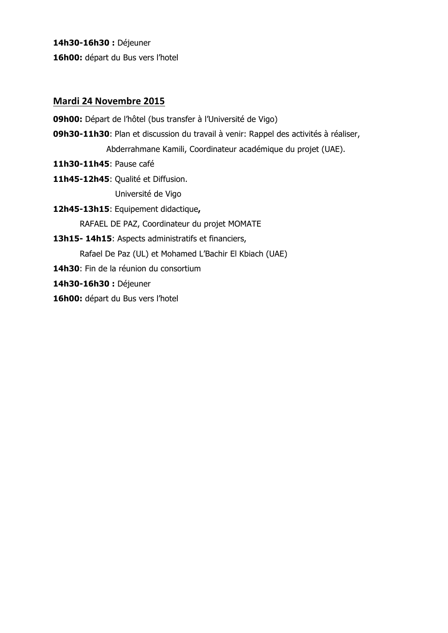**14h30-16h30 :** Déjeuner **16h00:** départ du Bus vers l'hotel

#### **Mardi 24 Novembre 2015**

**09h00:** Départ de l'hôtel (bus transfer à l'Université de Vigo)

- **09h30-11h30**: Plan et discussion du travail à venir: Rappel des activités à réaliser, Abderrahmane Kamili, Coordinateur académique du projet (UAE).
- **11h30-11h45**: Pause café
- **11h45-12h45**: Qualité et Diffusion. Université de Vigo
- **12h45-13h15**: Equipement didactique**,**  RAFAEL DE PAZ, Coordinateur du projet MOMATE
- **13h15- 14h15**: Aspects administratifs et financiers, Rafael De Paz (UL) et Mohamed L'Bachir El Kbiach (UAE) **14h30**: Fin de la réunion du consortium **14h30-16h30 :** Déjeuner **16h00:** départ du Bus vers l'hotel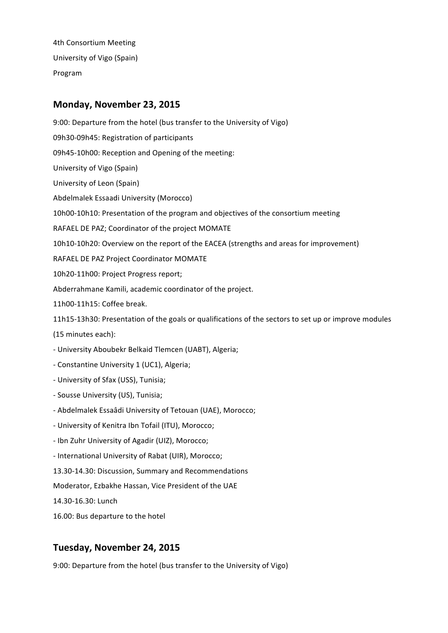4th Consortium Meeting University of Vigo (Spain) Program

#### **Monday, November 23, 2015**

9:00: Departure from the hotel (bus transfer to the University of Vigo) 09h30-09h45: Registration of participants 09h45-10h00: Reception and Opening of the meeting: University of Vigo (Spain) University of Leon (Spain) Abdelmalek Essaadi University (Morocco) 10h00-10h10: Presentation of the program and objectives of the consortium meeting RAFAEL DE PAZ; Coordinator of the project MOMATE 10h10-10h20: Overview on the report of the EACEA (strengths and areas for improvement) RAFAEL DE PAZ Project Coordinator MOMATE 10h20-11h00: Project Progress report; Abderrahmane Kamili, academic coordinator of the project. 11h00-11h15: Coffee break. 11h15-13h30: Presentation of the goals or qualifications of the sectors to set up or improve modules (15 minutes each): - University Aboubekr Belkaid Tlemcen (UABT), Algeria; - Constantine University 1 (UC1), Algeria; - University of Sfax (USS), Tunisia; - Sousse University (US), Tunisia; - Abdelmalek Essaâdi University of Tetouan (UAE), Morocco; - University of Kenitra Ibn Tofail (ITU), Morocco; - Ibn Zuhr University of Agadir (UIZ), Morocco; - International University of Rabat (UIR), Morocco; 13.30-14.30: Discussion, Summary and Recommendations Moderator, Ezbakhe Hassan, Vice President of the UAE 14.30-16.30: Lunch

16.00: Bus departure to the hotel

### **Tuesday, November 24, 2015**

9:00: Departure from the hotel (bus transfer to the University of Vigo)